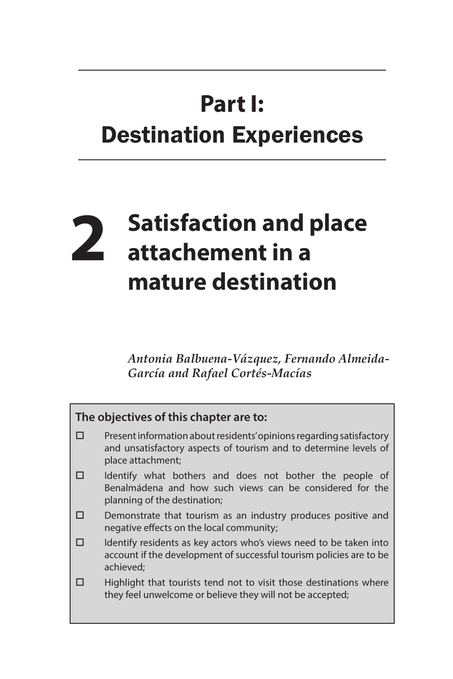## **Part I:** Destination Experiences

## **2 Satisfaction and place attachement in a mature destination**

*Antonia Balbuena-Vázquez, Fernando Almeida-García and Rafael Cortés-Macías*

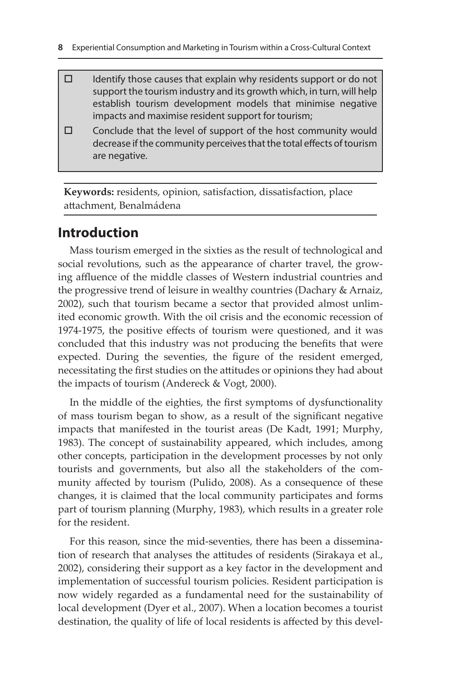- $\Box$  Identify those causes that explain why residents support or do not support the tourism industry and its growth which, in turn, will help establish tourism development models that minimise negative impacts and maximise resident support for tourism;
- $\square$  Conclude that the level of support of the host community would decrease if the community perceives that the total effects of tourism are negative.

**Keywords:** residents, opinion, satisfaction, dissatisfaction, place attachment, Benalmádena

## **Introduction**

Mass tourism emerged in the sixties as the result of technological and social revolutions, such as the appearance of charter travel, the growing affluence of the middle classes of Western industrial countries and the progressive trend of leisure in wealthy countries (Dachary & Arnaiz, 2002), such that tourism became a sector that provided almost unlimited economic growth. With the oil crisis and the economic recession of 1974-1975, the positive effects of tourism were questioned, and it was concluded that this industry was not producing the benefits that were expected. During the seventies, the figure of the resident emerged, necessitating the first studies on the attitudes or opinions they had about the impacts of tourism (Andereck & Vogt, 2000).

In the middle of the eighties, the first symptoms of dysfunctionality of mass tourism began to show, as a result of the significant negative impacts that manifested in the tourist areas (De Kadt, 1991; Murphy, 1983). The concept of sustainability appeared, which includes, among other concepts, participation in the development processes by not only tourists and governments, but also all the stakeholders of the community affected by tourism (Pulido, 2008). As a consequence of these changes, it is claimed that the local community participates and forms part of tourism planning (Murphy, 1983), which results in a greater role for the resident.

For this reason, since the mid-seventies, there has been a dissemination of research that analyses the attitudes of residents (Sirakaya et al., 2002), considering their support as a key factor in the development and implementation of successful tourism policies. Resident participation is now widely regarded as a fundamental need for the sustainability of local development (Dyer et al., 2007). When a location becomes a tourist destination, the quality of life of local residents is affected by this devel